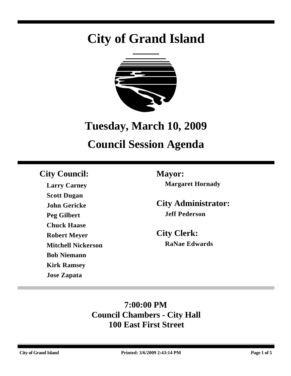# **City of Grand Island**



## **Tuesday, March 10, 2009**

## **Council Session Agenda**

### **City Council: Mayor:**

**Larry Carney Scott Dugan John Gericke Peg Gilbert Chuck Haase Robert Meyer Mitchell Nickerson Bob Niemann Kirk Ramsey Jose Zapata**

**Margaret Hornady**

**City Administrator: Jeff Pederson**

**City Clerk: RaNae Edwards**

### **7:00:00 PM Council Chambers - City Hall 100 East First Street**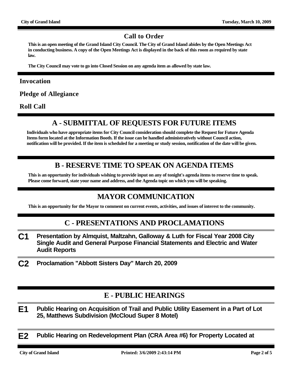#### **Call to Order**

**This is an open meeting of the Grand Island City Council. The City of Grand Island abides by the Open Meetings Act in conducting business. A copy of the Open Meetings Act is displayed in the back of this room as required by state law.**

**The City Council may vote to go into Closed Session on any agenda item as allowed by state law.**

#### **Invocation**

**Pledge of Allegiance**

**Roll Call**

#### **A - SUBMITTAL OF REQUESTS FOR FUTURE ITEMS**

**Individuals who have appropriate items for City Council consideration should complete the Request for Future Agenda Items form located at the Information Booth. If the issue can be handled administratively without Council action, notification will be provided. If the item is scheduled for a meeting or study session, notification of the date will be given.**

#### **B - RESERVE TIME TO SPEAK ON AGENDA ITEMS**

**This is an opportunity for individuals wishing to provide input on any of tonight's agenda items to reserve time to speak. Please come forward, state your name and address, and the Agenda topic on which you will be speaking.**

#### **MAYOR COMMUNICATION**

**This is an opportunity for the Mayor to comment on current events, activities, and issues of interest to the community.**

#### **C - PRESENTATIONS AND PROCLAMATIONS**

- **C1 Presentation by Almquist, Maltzahn, Galloway & Luth for Fiscal Year 2008 City Single Audit and General Purpose Financial Statements and Electric and Water Audit Reports**
- **C2 Proclamation "Abbott Sisters Day" March 20, 2009**

#### **E - PUBLIC HEARINGS**

**E1 Public Hearing on Acquisition of Trail and Public Utility Easement in a Part of Lot 25, Matthews Subdivision (McCloud Super 8 Motel)**

**E2 Public Hearing on Redevelopment Plan (CRA Area #6) for Property Located at**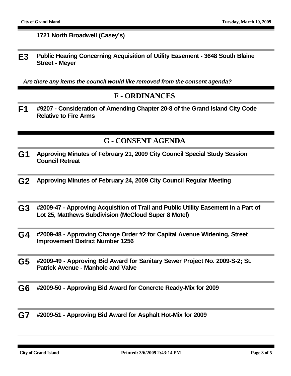#### **1721 North Broadwell (Casey's)**

**E3 Public Hearing Concerning Acquisition of Utility Easement - 3648 South Blaine Street - Meyer**

*Are there any items the council would like removed from the consent agenda?*

#### **F - ORDINANCES**

**F1 #9207 - Consideration of Amending Chapter 20-8 of the Grand Island City Code Relative to Fire Arms**

#### **G - CONSENT AGENDA**

- **G1 Approving Minutes of February 21, 2009 City Council Special Study Session Council Retreat**
- **G2 Approving Minutes of February 24, 2009 City Council Regular Meeting**
- **G3 #2009-47 Approving Acquisition of Trail and Public Utility Easement in a Part of Lot 25, Matthews Subdivision (McCloud Super 8 Motel)**
- **G4 #2009-48 Approving Change Order #2 for Capital Avenue Widening, Street Improvement District Number 1256**
- **G5 #2009-49 Approving Bid Award for Sanitary Sewer Project No. 2009-S-2; St. Patrick Avenue - Manhole and Valve**
- **G6 #2009-50 Approving Bid Award for Concrete Ready-Mix for 2009**
- **G7 #2009-51 Approving Bid Award for Asphalt Hot-Mix for 2009**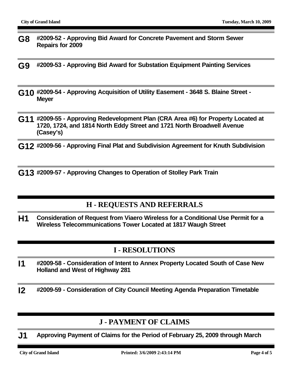- **G8 #2009-52 Approving Bid Award for Concrete Pavement and Storm Sewer Repairs for 2009**
- **G9 #2009-53 Approving Bid Award for Substation Equipment Painting Services**
- **G10 #2009-54 Approving Acquisition of Utility Easement 3648 S. Blaine Street Meyer**
- **G11 #2009-55 Approving Redevelopment Plan (CRA Area #6) for Property Located at 1720, 1724, and 1814 North Eddy Street and 1721 North Broadwell Avenue (Casey's)**
- **G12 #2009-56 Approving Final Plat and Subdivision Agreement for Knuth Subdivision**

**G13 #2009-57 - Approving Changes to Operation of Stolley Park Train**

#### **H - REQUESTS AND REFERRALS**

**H1 Consideration of Request from Viaero Wireless for a Conditional Use Permit for a Wireless Telecommunications Tower Located at 1817 Waugh Street**

#### **I - RESOLUTIONS**

- **I1 #2009-58 Consideration of Intent to Annex Property Located South of Case New Holland and West of Highway 281**
- **I2 #2009-59 Consideration of City Council Meeting Agenda Preparation Timetable**

#### **J - PAYMENT OF CLAIMS**

**J1 Approving Payment of Claims for the Period of February 25, 2009 through March**